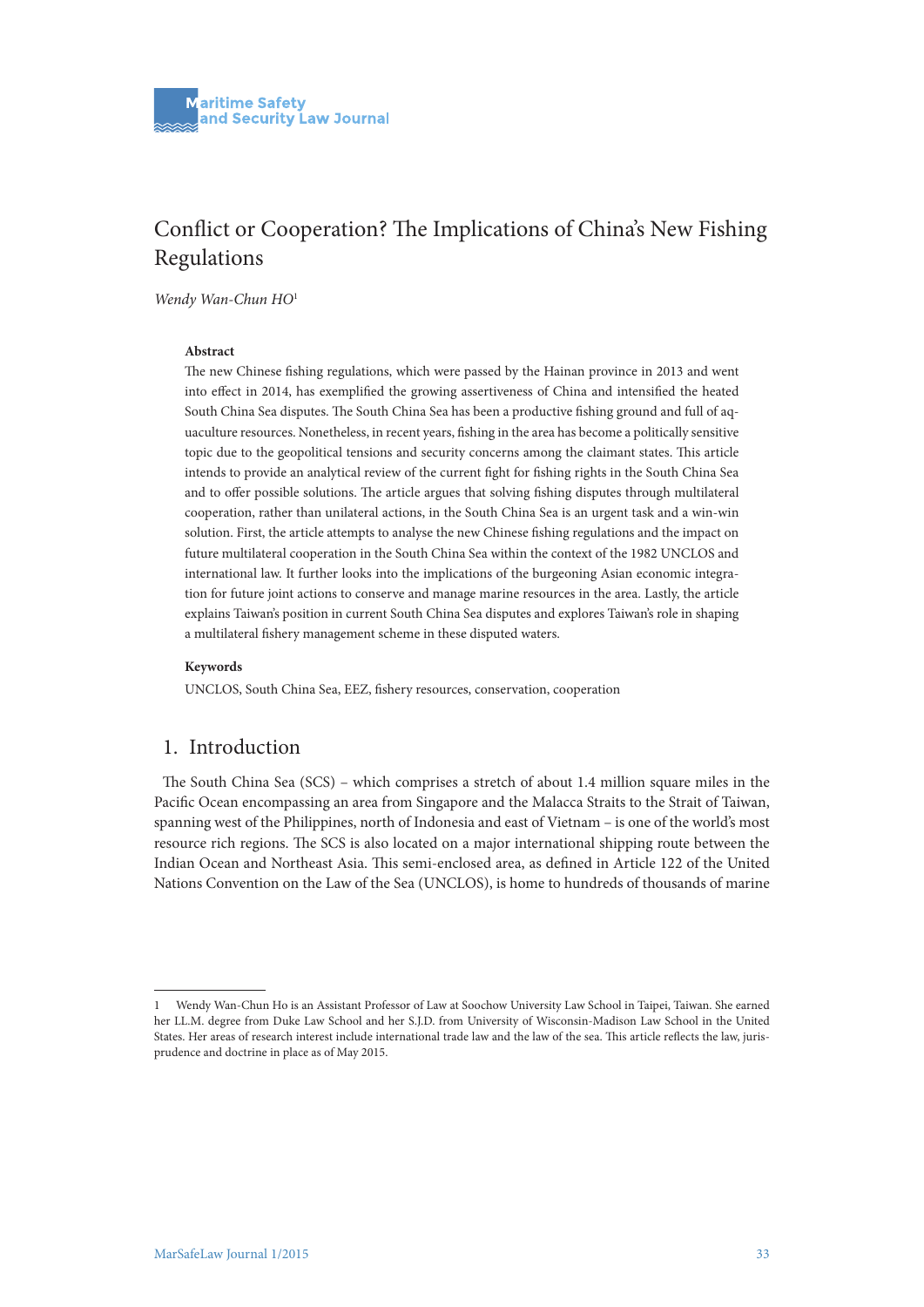# Conflict or Cooperation? The Implications of China's New Fishing Regulations

*Wendy Wan-Chun HO*<sup>1</sup>

#### **Abstract**

The new Chinese fishing regulations, which were passed by the Hainan province in 2013 and went into effect in 2014, has exemplified the growing assertiveness of China and intensified the heated South China Sea disputes. The South China Sea has been a productive fishing ground and full of aquaculture resources. Nonetheless, in recent years, fishing in the area has become a politically sensitive topic due to the geopolitical tensions and security concerns among the claimant states. This article intends to provide an analytical review of the current fight for fishing rights in the South China Sea and to offer possible solutions. The article argues that solving fishing disputes through multilateral cooperation, rather than unilateral actions, in the South China Sea is an urgent task and a win-win solution. First, the article attempts to analyse the new Chinese fishing regulations and the impact on future multilateral cooperation in the South China Sea within the context of the 1982 UNCLOS and international law. It further looks into the implications of the burgeoning Asian economic integration for future joint actions to conserve and manage marine resources in the area. Lastly, the article explains Taiwan's position in current South China Sea disputes and explores Taiwan's role in shaping a multilateral fishery management scheme in these disputed waters.

#### **Keywords**

UNCLOS, South China Sea, EEZ, fishery resources, conservation, cooperation

### 1. Introduction

The South China Sea (SCS) – which comprises a stretch of about 1.4 million square miles in the Pacific Ocean encompassing an area from Singapore and the Malacca Straits to the Strait of Taiwan, spanning west of the Philippines, north of Indonesia and east of Vietnam – is one of the world's most resource rich regions. The SCS is also located on a major international shipping route between the Indian Ocean and Northeast Asia. This semi-enclosed area, as defined in Article 122 of the United Nations Convention on the Law of the Sea (UNCLOS), is home to hundreds of thousands of marine

<sup>1</sup> Wendy Wan-Chun Ho is an Assistant Professor of Law at Soochow University Law School in Taipei, Taiwan. She earned her LL.M. degree from Duke Law School and her S.J.D. from University of Wisconsin-Madison Law School in the United States. Her areas of research interest include international trade law and the law of the sea. This article reflects the law, jurisprudence and doctrine in place as of May 2015.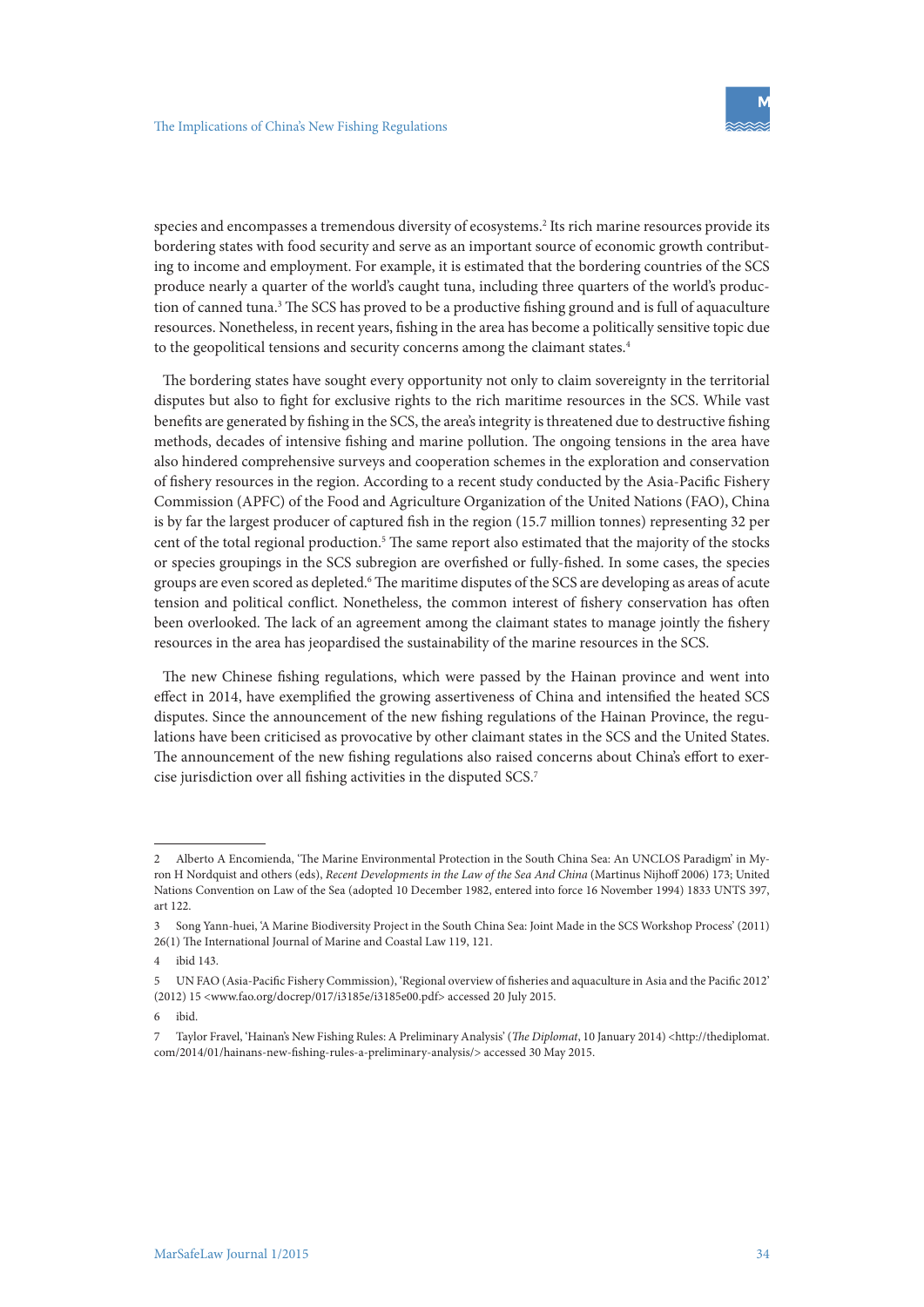species and encompasses a tremendous diversity of ecosystems.2 Its rich marine resources provide its bordering states with food security and serve as an important source of economic growth contributing to income and employment. For example, it is estimated that the bordering countries of the SCS produce nearly a quarter of the world's caught tuna, including three quarters of the world's production of canned tuna.<sup>3</sup> The SCS has proved to be a productive fishing ground and is full of aquaculture resources. Nonetheless, in recent years, fishing in the area has become a politically sensitive topic due to the geopolitical tensions and security concerns among the claimant states.<sup>4</sup>

The bordering states have sought every opportunity not only to claim sovereignty in the territorial disputes but also to fight for exclusive rights to the rich maritime resources in the SCS. While vast benefits are generated by fishing in the SCS, the area's integrity is threatened due to destructive fishing methods, decades of intensive fishing and marine pollution. The ongoing tensions in the area have also hindered comprehensive surveys and cooperation schemes in the exploration and conservation of fishery resources in the region. According to a recent study conducted by the Asia-Pacific Fishery Commission (APFC) of the Food and Agriculture Organization of the United Nations (FAO), China is by far the largest producer of captured fish in the region (15.7 million tonnes) representing 32 per cent of the total regional production.5 The same report also estimated that the majority of the stocks or species groupings in the SCS subregion are overfished or fully-fished. In some cases, the species groups are even scored as depleted.<sup>6</sup> The maritime disputes of the SCS are developing as areas of acute tension and political conflict. Nonetheless, the common interest of fishery conservation has often been overlooked. The lack of an agreement among the claimant states to manage jointly the fishery resources in the area has jeopardised the sustainability of the marine resources in the SCS.

The new Chinese fishing regulations, which were passed by the Hainan province and went into effect in 2014, have exemplified the growing assertiveness of China and intensified the heated SCS disputes. Since the announcement of the new fishing regulations of the Hainan Province, the regulations have been criticised as provocative by other claimant states in the SCS and the United States. The announcement of the new fishing regulations also raised concerns about China's effort to exercise jurisdiction over all fishing activities in the disputed SCS.7

<sup>2</sup> Alberto A Encomienda, 'The Marine Environmental Protection in the South China Sea: An UNCLOS Paradigm' in Myron H Nordquist and others (eds), *Recent Developments in the Law of the Sea And China* (Martinus Nijhoff 2006) 173; United Nations Convention on Law of the Sea (adopted 10 December 1982, entered into force 16 November 1994) 1833 UNTS 397, art 122.

<sup>3</sup> Song Yann-huei, 'A Marine Biodiversity Project in the South China Sea: Joint Made in the SCS Workshop Process' (2011) 26(1) The International Journal of Marine and Coastal Law 119, 121.

<sup>4</sup> ibid 143.

<sup>5</sup> UN FAO (Asia-Pacific Fishery Commission), 'Regional overview of fisheries and aquaculture in Asia and the Pacific 2012' (2012) 15 <www.fao.org/docrep/017/i3185e/i3185e00.pdf> accessed 20 July 2015.

<sup>6</sup> ibid.

<sup>7</sup> Taylor Fravel, 'Hainan's New Fishing Rules: A Preliminary Analysis' (*The Diplomat*, 10 January 2014) <http://thediplomat. com/2014/01/hainans-new-fishing-rules-a-preliminary-analysis/> accessed 30 May 2015.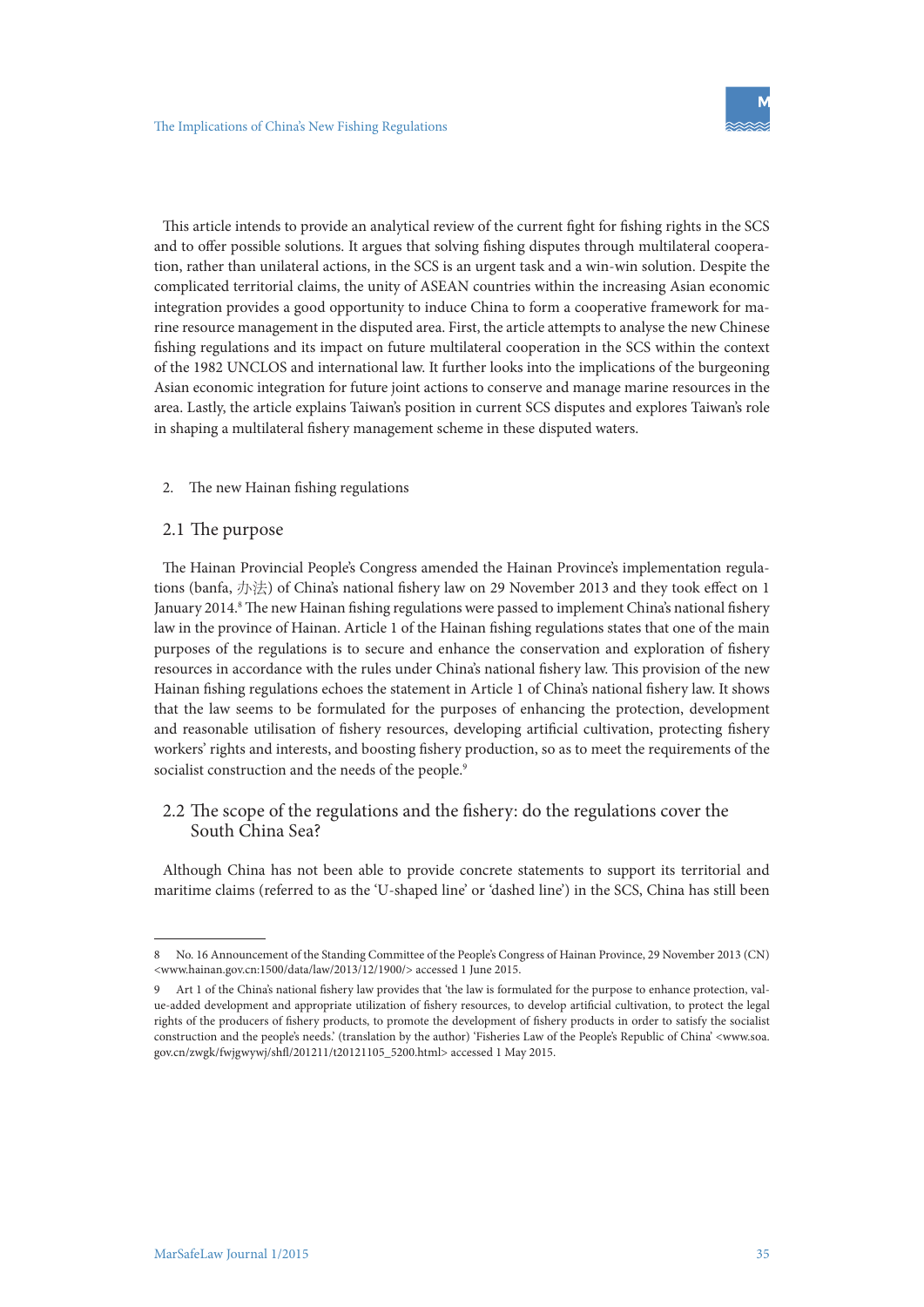This article intends to provide an analytical review of the current fight for fishing rights in the SCS and to offer possible solutions. It argues that solving fishing disputes through multilateral cooperation, rather than unilateral actions, in the SCS is an urgent task and a win-win solution. Despite the complicated territorial claims, the unity of ASEAN countries within the increasing Asian economic integration provides a good opportunity to induce China to form a cooperative framework for marine resource management in the disputed area. First, the article attempts to analyse the new Chinese fishing regulations and its impact on future multilateral cooperation in the SCS within the context of the 1982 UNCLOS and international law. It further looks into the implications of the burgeoning Asian economic integration for future joint actions to conserve and manage marine resources in the area. Lastly, the article explains Taiwan's position in current SCS disputes and explores Taiwan's role in shaping a multilateral fishery management scheme in these disputed waters.

#### 2. The new Hainan fishing regulations

#### 2.1 The purpose

The Hainan Provincial People's Congress amended the Hainan Province's implementation regulations (banfa, 办法) of China's national fishery law on 29 November 2013 and they took effect on 1 January 2014.<sup>8</sup> The new Hainan fishing regulations were passed to implement China's national fishery law in the province of Hainan. Article 1 of the Hainan fishing regulations states that one of the main purposes of the regulations is to secure and enhance the conservation and exploration of fishery resources in accordance with the rules under China's national fishery law. This provision of the new Hainan fishing regulations echoes the statement in Article 1 of China's national fishery law. It shows that the law seems to be formulated for the purposes of enhancing the protection, development and reasonable utilisation of fishery resources, developing artificial cultivation, protecting fishery workers' rights and interests, and boosting fishery production, so as to meet the requirements of the socialist construction and the needs of the people.<sup>9</sup>

#### 2.2 The scope of the regulations and the fishery: do the regulations cover the South China Sea?

Although China has not been able to provide concrete statements to support its territorial and maritime claims (referred to as the 'U-shaped line' or 'dashed line') in the SCS, China has still been

<sup>8</sup> No. 16 Announcement of the Standing Committee of the People's Congress of Hainan Province, 29 November 2013 (CN) <www.hainan.gov.cn:1500/data/law/2013/12/1900/> accessed 1 June 2015.

Art 1 of the China's national fishery law provides that 'the law is formulated for the purpose to enhance protection, value-added development and appropriate utilization of fishery resources, to develop artificial cultivation, to protect the legal rights of the producers of fishery products, to promote the development of fishery products in order to satisfy the socialist construction and the people's needs.' (translation by the author) 'Fisheries Law of the People's Republic of China' <www.soa. gov.cn/zwgk/fwjgwywj/shfl/201211/t20121105\_5200.html> accessed 1 May 2015.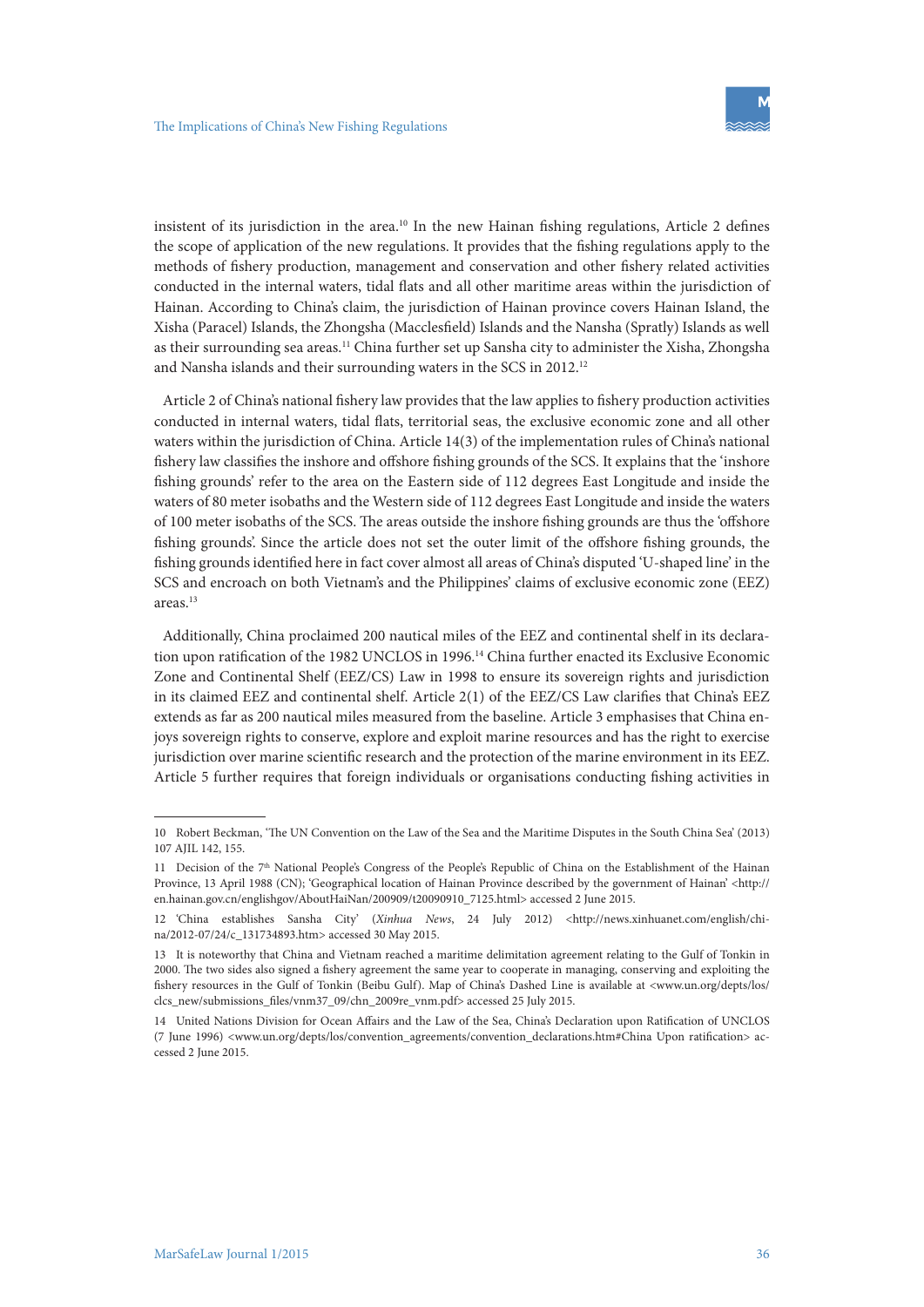insistent of its jurisdiction in the area.<sup>10</sup> In the new Hainan fishing regulations, Article 2 defines the scope of application of the new regulations. It provides that the fishing regulations apply to the methods of fishery production, management and conservation and other fishery related activities conducted in the internal waters, tidal flats and all other maritime areas within the jurisdiction of Hainan. According to China's claim, the jurisdiction of Hainan province covers Hainan Island, the Xisha (Paracel) Islands, the Zhongsha (Macclesfield) Islands and the Nansha (Spratly) Islands as well as their surrounding sea areas.<sup>11</sup> China further set up Sansha city to administer the Xisha, Zhongsha and Nansha islands and their surrounding waters in the SCS in 2012.12

Article 2 of China's national fishery law provides that the law applies to fishery production activities conducted in internal waters, tidal flats, territorial seas, the exclusive economic zone and all other waters within the jurisdiction of China. Article 14(3) of the implementation rules of China's national fishery law classifies the inshore and offshore fishing grounds of the SCS. It explains that the 'inshore fishing grounds' refer to the area on the Eastern side of 112 degrees East Longitude and inside the waters of 80 meter isobaths and the Western side of 112 degrees East Longitude and inside the waters of 100 meter isobaths of the SCS. The areas outside the inshore fishing grounds are thus the 'offshore fishing grounds'. Since the article does not set the outer limit of the offshore fishing grounds, the fishing grounds identified here in fact cover almost all areas of China's disputed 'U-shaped line' in the SCS and encroach on both Vietnam's and the Philippines' claims of exclusive economic zone (EEZ) areas.13

Additionally, China proclaimed 200 nautical miles of the EEZ and continental shelf in its declaration upon ratification of the 1982 UNCLOS in 1996.<sup>14</sup> China further enacted its Exclusive Economic Zone and Continental Shelf (EEZ/CS) Law in 1998 to ensure its sovereign rights and jurisdiction in its claimed EEZ and continental shelf. Article 2(1) of the EEZ/CS Law clarifies that China's EEZ extends as far as 200 nautical miles measured from the baseline. Article 3 emphasises that China enjoys sovereign rights to conserve, explore and exploit marine resources and has the right to exercise jurisdiction over marine scientific research and the protection of the marine environment in its EEZ. Article 5 further requires that foreign individuals or organisations conducting fishing activities in

<sup>10</sup> Robert Beckman, 'The UN Convention on the Law of the Sea and the Maritime Disputes in the South China Sea' (2013) 107 AJIL 142, 155.

<sup>11</sup> Decision of the  $7<sup>th</sup>$  National People's Congress of the People's Republic of China on the Establishment of the Hainan Province, 13 April 1988 (CN); 'Geographical location of Hainan Province described by the government of Hainan' <http:// en.hainan.gov.cn/englishgov/AboutHaiNan/200909/t20090910\_7125.html> accessed 2 June 2015.

<sup>12</sup> 'China establishes Sansha City' (*Xinhua News*, 24 July 2012) <http://news.xinhuanet.com/english/china/2012-07/24/c\_131734893.htm> accessed 30 May 2015.

<sup>13</sup> It is noteworthy that China and Vietnam reached a maritime delimitation agreement relating to the Gulf of Tonkin in 2000. The two sides also signed a fishery agreement the same year to cooperate in managing, conserving and exploiting the fishery resources in the Gulf of Tonkin (Beibu Gulf). Map of China's Dashed Line is available at <www.un.org/depts/los/ clcs\_new/submissions\_files/vnm37\_09/chn\_2009re\_vnm.pdf> accessed 25 July 2015.

<sup>14</sup> United Nations Division for Ocean Affairs and the Law of the Sea, China's Declaration upon Ratification of UNCLOS (7 June 1996) <www.un.org/depts/los/convention\_agreements/convention\_declarations.htm#China Upon ratification> accessed 2 June 2015.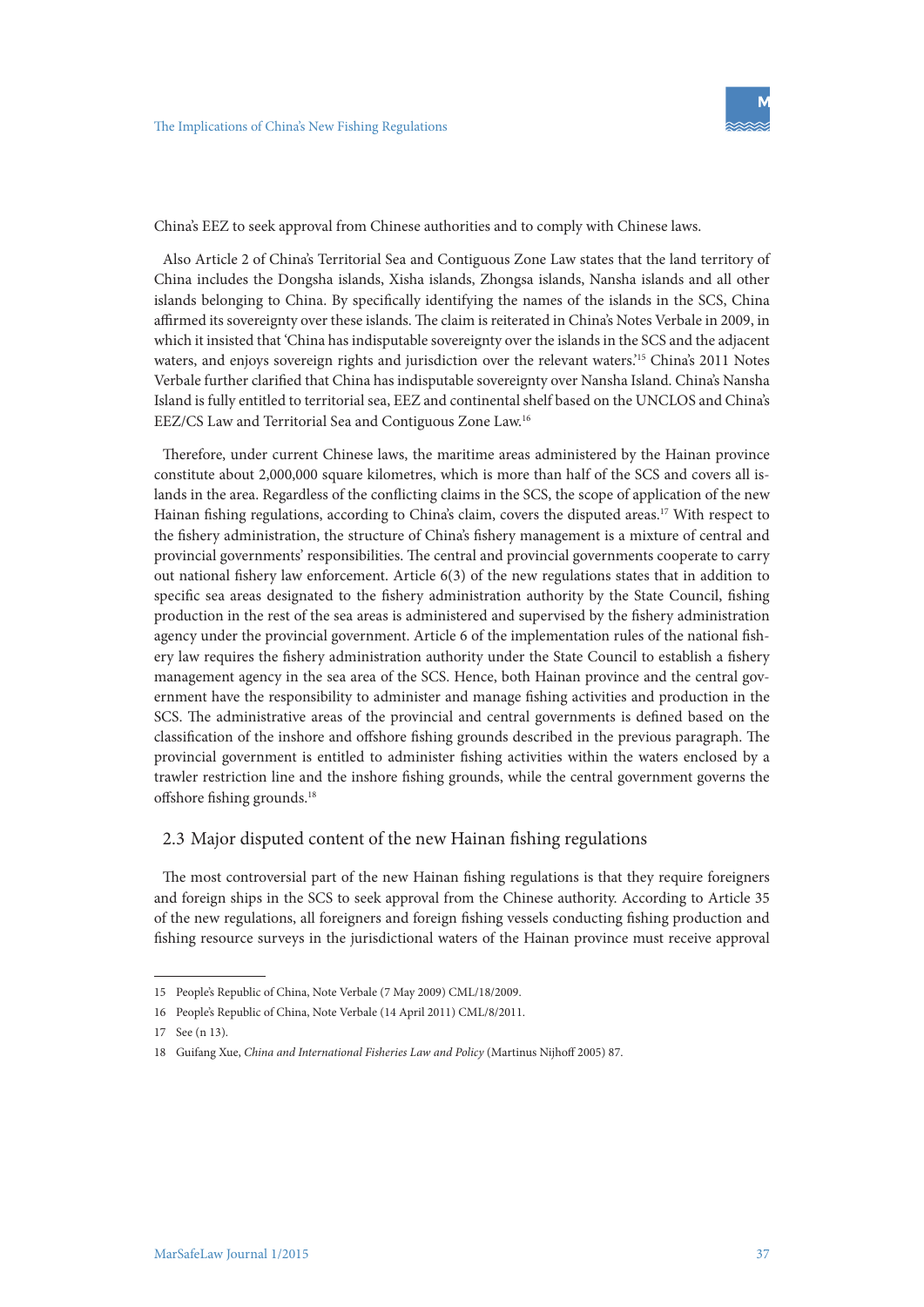

China's EEZ to seek approval from Chinese authorities and to comply with Chinese laws.

Also Article 2 of China's Territorial Sea and Contiguous Zone Law states that the land territory of China includes the Dongsha islands, Xisha islands, Zhongsa islands, Nansha islands and all other islands belonging to China. By specifically identifying the names of the islands in the SCS, China affirmed its sovereignty over these islands. The claim is reiterated in China's Notes Verbale in 2009, in which it insisted that 'China has indisputable sovereignty over the islands in the SCS and the adjacent waters, and enjoys sovereign rights and jurisdiction over the relevant waters.'15 China's 2011 Notes Verbale further clarified that China has indisputable sovereignty over Nansha Island. China's Nansha Island is fully entitled to territorial sea, EEZ and continental shelf based on the UNCLOS and China's EEZ/CS Law and Territorial Sea and Contiguous Zone Law.16

Therefore, under current Chinese laws, the maritime areas administered by the Hainan province constitute about 2,000,000 square kilometres, which is more than half of the SCS and covers all islands in the area. Regardless of the conflicting claims in the SCS, the scope of application of the new Hainan fishing regulations, according to China's claim, covers the disputed areas.17 With respect to the fishery administration, the structure of China's fishery management is a mixture of central and provincial governments' responsibilities. The central and provincial governments cooperate to carry out national fishery law enforcement. Article 6(3) of the new regulations states that in addition to specific sea areas designated to the fishery administration authority by the State Council, fishing production in the rest of the sea areas is administered and supervised by the fishery administration agency under the provincial government. Article 6 of the implementation rules of the national fishery law requires the fishery administration authority under the State Council to establish a fishery management agency in the sea area of the SCS. Hence, both Hainan province and the central government have the responsibility to administer and manage fishing activities and production in the SCS. The administrative areas of the provincial and central governments is defined based on the classification of the inshore and offshore fishing grounds described in the previous paragraph. The provincial government is entitled to administer fishing activities within the waters enclosed by a trawler restriction line and the inshore fishing grounds, while the central government governs the offshore fishing grounds.18

#### 2.3 Major disputed content of the new Hainan fishing regulations

The most controversial part of the new Hainan fishing regulations is that they require foreigners and foreign ships in the SCS to seek approval from the Chinese authority. According to Article 35 of the new regulations, all foreigners and foreign fishing vessels conducting fishing production and fishing resource surveys in the jurisdictional waters of the Hainan province must receive approval

<sup>15</sup> People's Republic of China, Note Verbale (7 May 2009) CML/18/2009.

<sup>16</sup> People's Republic of China, Note Verbale (14 April 2011) CML/8/2011.

<sup>17</sup> See (n 13).

<sup>18</sup> Guifang Xue, *China and International Fisheries Law and Policy* (Martinus Nijhoff 2005) 87.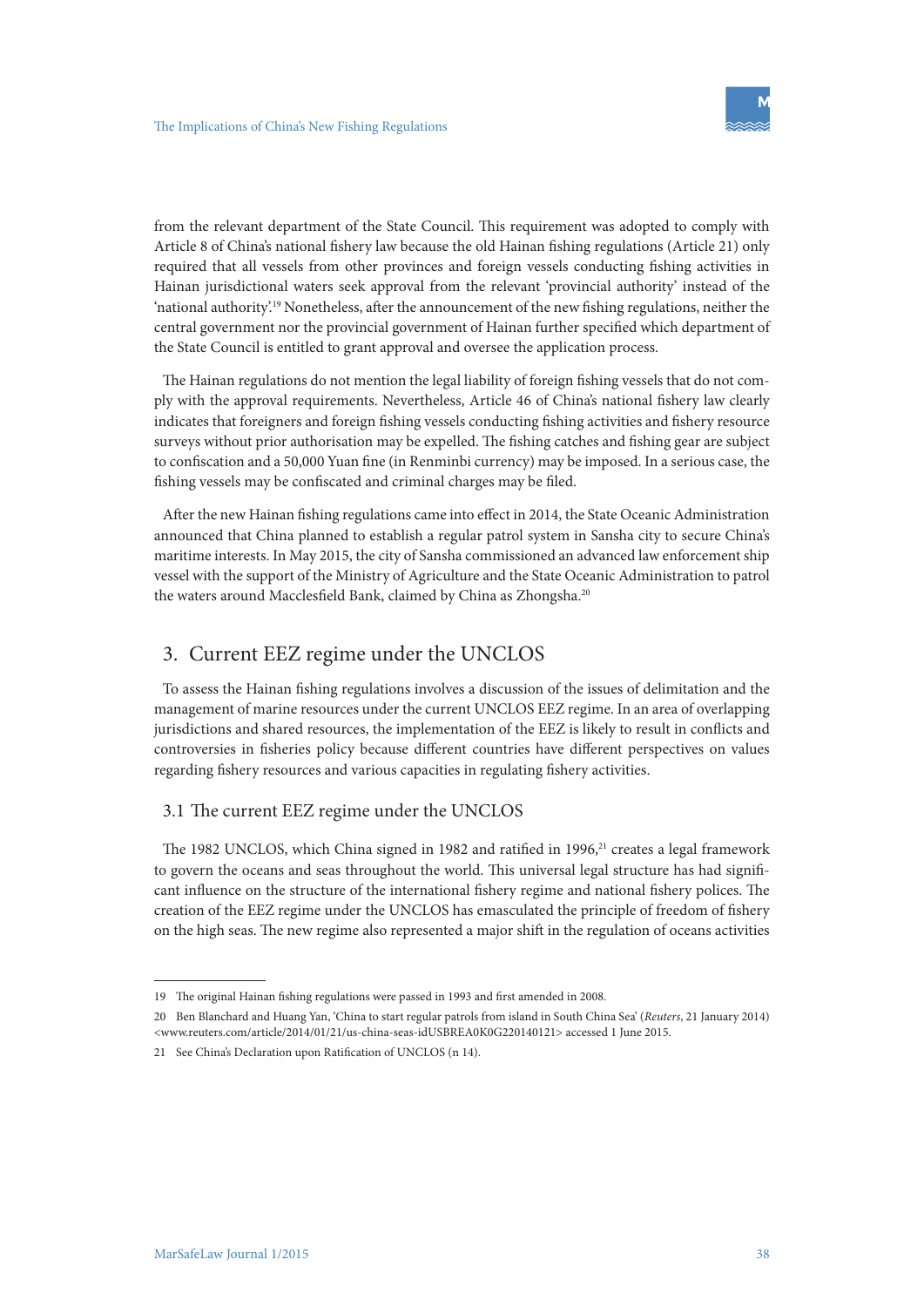from the relevant department of the State Council. This requirement was adopted to comply with Article 8 of China's national fishery law because the old Hainan fishing regulations (Article 21) only required that all vessels from other provinces and foreign vessels conducting fishing activities in Hainan jurisdictional waters seek approval from the relevant 'provincial authority' instead of the 'national authority'.19 Nonetheless, after the announcement of the new fishing regulations, neither the central government nor the provincial government of Hainan further specified which department of the State Council is entitled to grant approval and oversee the application process.

The Hainan regulations do not mention the legal liability of foreign fishing vessels that do not comply with the approval requirements. Nevertheless, Article 46 of China's national fishery law clearly indicates that foreigners and foreign fishing vessels conducting fishing activities and fishery resource surveys without prior authorisation may be expelled. The fishing catches and fishing gear are subject to confiscation and a 50,000 Yuan fine (in Renminbi currency) may be imposed. In a serious case, the fishing vessels may be confiscated and criminal charges may be filed.

After the new Hainan fishing regulations came into effect in 2014, the State Oceanic Administration announced that China planned to establish a regular patrol system in Sansha city to secure China's maritime interests. In May 2015, the city of Sansha commissioned an advanced law enforcement ship vessel with the support of the Ministry of Agriculture and the State Oceanic Administration to patrol the waters around Macclesfield Bank, claimed by China as Zhongsha.<sup>20</sup>

# 3. Current EEZ regime under the UNCLOS

To assess the Hainan fishing regulations involves a discussion of the issues of delimitation and the management of marine resources under the current UNCLOS EEZ regime. In an area of overlapping jurisdictions and shared resources, the implementation of the EEZ is likely to result in conflicts and controversies in fisheries policy because different countries have different perspectives on values regarding fishery resources and various capacities in regulating fishery activities.

#### 3.1 The current EEZ regime under the UNCLOS

The 1982 UNCLOS, which China signed in 1982 and ratified in 1996, $21$  creates a legal framework to govern the oceans and seas throughout the world. This universal legal structure has had significant influence on the structure of the international fishery regime and national fishery polices. The creation of the EEZ regime under the UNCLOS has emasculated the principle of freedom of fishery on the high seas. The new regime also represented a major shift in the regulation of oceans activities

<sup>19</sup> The original Hainan fishing regulations were passed in 1993 and first amended in 2008.

<sup>20</sup> Ben Blanchard and Huang Yan, 'China to start regular patrols from island in South China Sea' (*Reuters*, 21 January 2014) <www.reuters.com/article/2014/01/21/us-china-seas-idUSBREA0K0G220140121> accessed 1 June 2015.

<sup>21</sup> See China's Declaration upon Ratification of UNCLOS (n 14).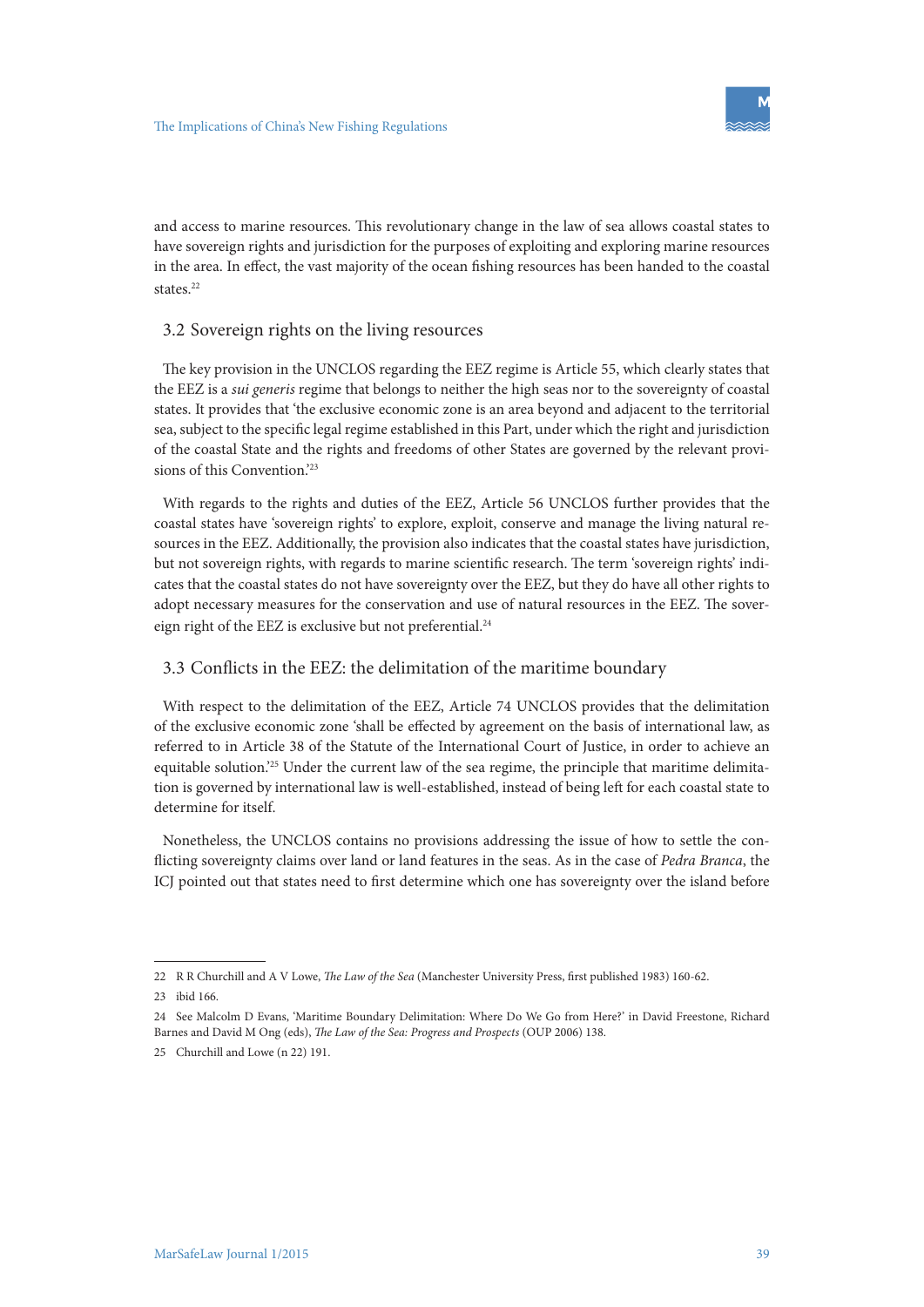and access to marine resources. This revolutionary change in the law of sea allows coastal states to have sovereign rights and jurisdiction for the purposes of exploiting and exploring marine resources in the area. In effect, the vast majority of the ocean fishing resources has been handed to the coastal states.<sup>22</sup>

#### 3.2 Sovereign rights on the living resources

The key provision in the UNCLOS regarding the EEZ regime is Article 55, which clearly states that the EEZ is a *sui generis* regime that belongs to neither the high seas nor to the sovereignty of coastal states. It provides that 'the exclusive economic zone is an area beyond and adjacent to the territorial sea, subject to the specific legal regime established in this Part, under which the right and jurisdiction of the coastal State and the rights and freedoms of other States are governed by the relevant provisions of this Convention.'23

With regards to the rights and duties of the EEZ, Article 56 UNCLOS further provides that the coastal states have 'sovereign rights' to explore, exploit, conserve and manage the living natural resources in the EEZ. Additionally, the provision also indicates that the coastal states have jurisdiction, but not sovereign rights, with regards to marine scientific research. The term 'sovereign rights' indicates that the coastal states do not have sovereignty over the EEZ, but they do have all other rights to adopt necessary measures for the conservation and use of natural resources in the EEZ. The sovereign right of the EEZ is exclusive but not preferential.<sup>24</sup>

# 3.3 Conflicts in the EEZ: the delimitation of the maritime boundary

With respect to the delimitation of the EEZ, Article 74 UNCLOS provides that the delimitation of the exclusive economic zone 'shall be effected by agreement on the basis of international law, as referred to in Article 38 of the Statute of the International Court of Justice, in order to achieve an equitable solution.'25 Under the current law of the sea regime, the principle that maritime delimitation is governed by international law is well-established, instead of being left for each coastal state to determine for itself.

Nonetheless, the UNCLOS contains no provisions addressing the issue of how to settle the conflicting sovereignty claims over land or land features in the seas. As in the case of *Pedra Branca*, the ICJ pointed out that states need to first determine which one has sovereignty over the island before

<sup>22</sup> R R Churchill and A V Lowe, *The Law of the Sea* (Manchester University Press, first published 1983) 160-62.

<sup>23</sup> ibid 166.

<sup>24</sup> See Malcolm D Evans, 'Maritime Boundary Delimitation: Where Do We Go from Here?' in David Freestone, Richard Barnes and David M Ong (eds), *The Law of the Sea: Progress and Prospects* (OUP 2006) 138.

<sup>25</sup> Churchill and Lowe (n 22) 191.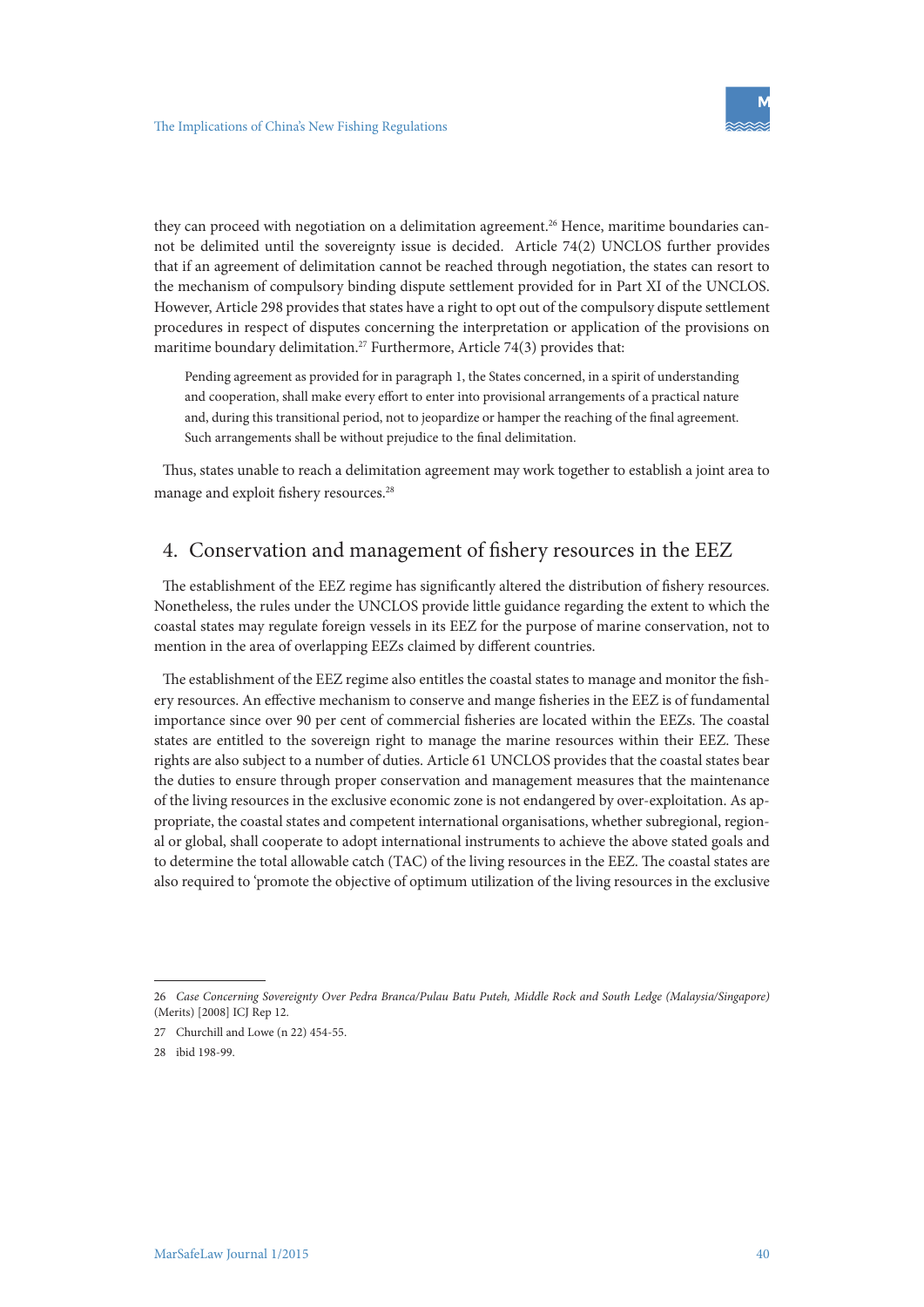they can proceed with negotiation on a delimitation agreement.26 Hence, maritime boundaries cannot be delimited until the sovereignty issue is decided. Article 74(2) UNCLOS further provides that if an agreement of delimitation cannot be reached through negotiation, the states can resort to the mechanism of compulsory binding dispute settlement provided for in Part XI of the UNCLOS. However, Article 298 provides that states have a right to opt out of the compulsory dispute settlement procedures in respect of disputes concerning the interpretation or application of the provisions on maritime boundary delimitation.<sup>27</sup> Furthermore, Article 74(3) provides that:

Pending agreement as provided for in paragraph 1, the States concerned, in a spirit of understanding and cooperation, shall make every effort to enter into provisional arrangements of a practical nature and, during this transitional period, not to jeopardize or hamper the reaching of the final agreement. Such arrangements shall be without prejudice to the final delimitation.

Thus, states unable to reach a delimitation agreement may work together to establish a joint area to manage and exploit fishery resources.28

# 4. Conservation and management of fishery resources in the EEZ

The establishment of the EEZ regime has significantly altered the distribution of fishery resources. Nonetheless, the rules under the UNCLOS provide little guidance regarding the extent to which the coastal states may regulate foreign vessels in its EEZ for the purpose of marine conservation, not to mention in the area of overlapping EEZs claimed by different countries.

The establishment of the EEZ regime also entitles the coastal states to manage and monitor the fishery resources. An effective mechanism to conserve and mange fisheries in the EEZ is of fundamental importance since over 90 per cent of commercial fisheries are located within the EEZs. The coastal states are entitled to the sovereign right to manage the marine resources within their EEZ. These rights are also subject to a number of duties. Article 61 UNCLOS provides that the coastal states bear the duties to ensure through proper conservation and management measures that the maintenance of the living resources in the exclusive economic zone is not endangered by over-exploitation. As appropriate, the coastal states and competent international organisations, whether subregional, regional or global, shall cooperate to adopt international instruments to achieve the above stated goals and to determine the total allowable catch (TAC) of the living resources in the EEZ. The coastal states are also required to 'promote the objective of optimum utilization of the living resources in the exclusive

<sup>26</sup> *Case Concerning Sovereignty Over Pedra Branca/Pulau Batu Puteh, Middle Rock and South Ledge (Malaysia/Singapore)*  (Merits) [2008] ICJ Rep 12.

<sup>27</sup> Churchill and Lowe (n 22) 454-55.

<sup>28</sup> ibid 198-99.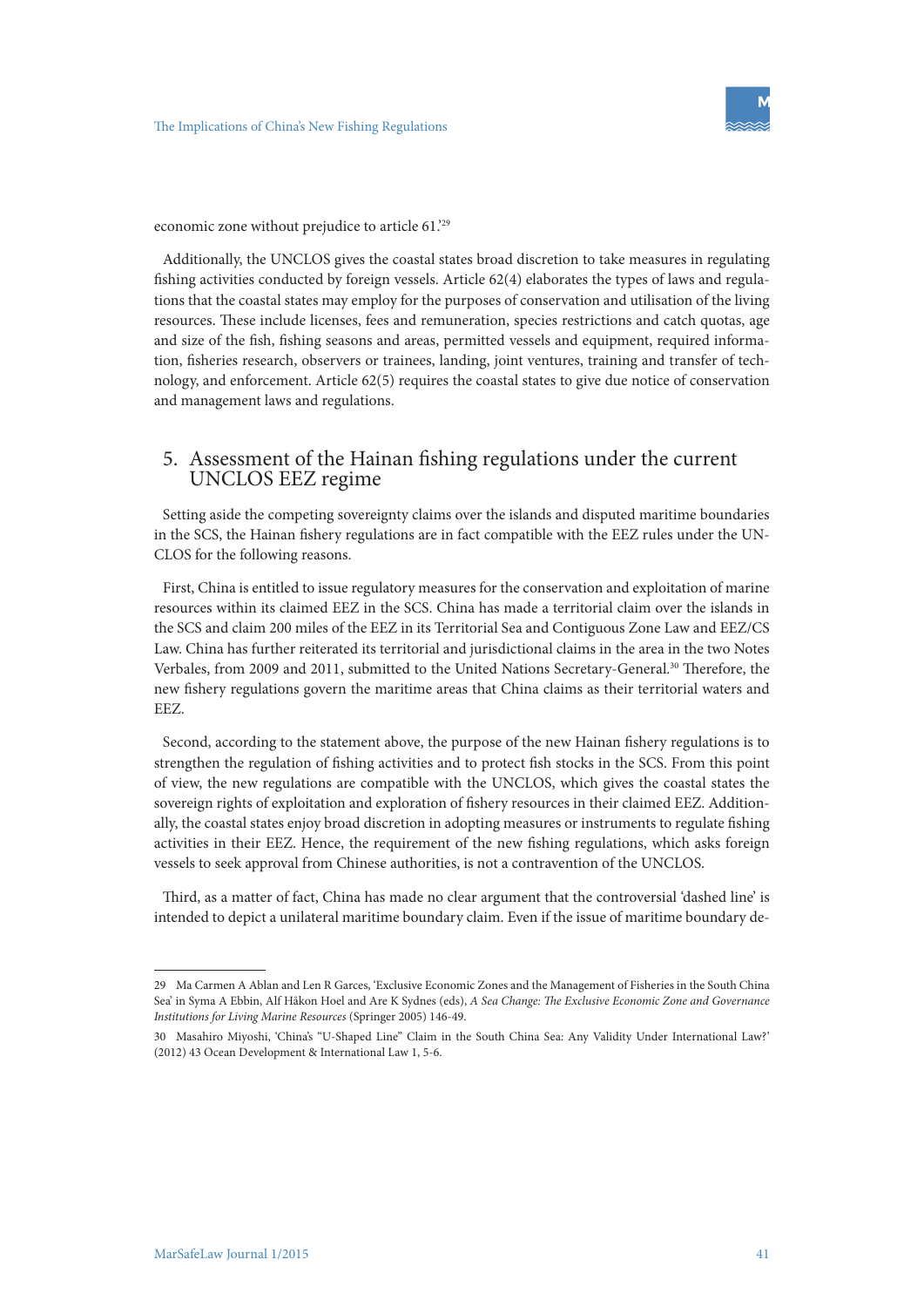economic zone without prejudice to article 61.'29

Additionally, the UNCLOS gives the coastal states broad discretion to take measures in regulating fishing activities conducted by foreign vessels. Article 62(4) elaborates the types of laws and regulations that the coastal states may employ for the purposes of conservation and utilisation of the living resources. These include licenses, fees and remuneration, species restrictions and catch quotas, age and size of the fish, fishing seasons and areas, permitted vessels and equipment, required information, fisheries research, observers or trainees, landing, joint ventures, training and transfer of technology, and enforcement. Article 62(5) requires the coastal states to give due notice of conservation and management laws and regulations.

# 5. Assessment of the Hainan fishing regulations under the current UNCLOS EEZ regime

Setting aside the competing sovereignty claims over the islands and disputed maritime boundaries in the SCS, the Hainan fishery regulations are in fact compatible with the EEZ rules under the UN-CLOS for the following reasons.

First, China is entitled to issue regulatory measures for the conservation and exploitation of marine resources within its claimed EEZ in the SCS. China has made a territorial claim over the islands in the SCS and claim 200 miles of the EEZ in its Territorial Sea and Contiguous Zone Law and EEZ/CS Law. China has further reiterated its territorial and jurisdictional claims in the area in the two Notes Verbales, from 2009 and 2011, submitted to the United Nations Secretary-General.30 Therefore, the new fishery regulations govern the maritime areas that China claims as their territorial waters and EEZ.

Second, according to the statement above, the purpose of the new Hainan fishery regulations is to strengthen the regulation of fishing activities and to protect fish stocks in the SCS. From this point of view, the new regulations are compatible with the UNCLOS, which gives the coastal states the sovereign rights of exploitation and exploration of fishery resources in their claimed EEZ. Additionally, the coastal states enjoy broad discretion in adopting measures or instruments to regulate fishing activities in their EEZ. Hence, the requirement of the new fishing regulations, which asks foreign vessels to seek approval from Chinese authorities, is not a contravention of the UNCLOS.

Third, as a matter of fact, China has made no clear argument that the controversial 'dashed line' is intended to depict a unilateral maritime boundary claim. Even if the issue of maritime boundary de-

<sup>29</sup> Ma Carmen A Ablan and Len R Garces, 'Exclusive Economic Zones and the Management of Fisheries in the South China Sea' in Syma A Ebbin, Alf Håkon Hoel and Are K Sydnes (eds), *A Sea Change: The Exclusive Economic Zone and Governance Institutions for Living Marine Resources* (Springer 2005) 146-49.

<sup>30</sup> Masahiro Miyoshi, 'China's "U-Shaped Line" Claim in the South China Sea: Any Validity Under International Law?' (2012) 43 Ocean Development & International Law 1, 5-6.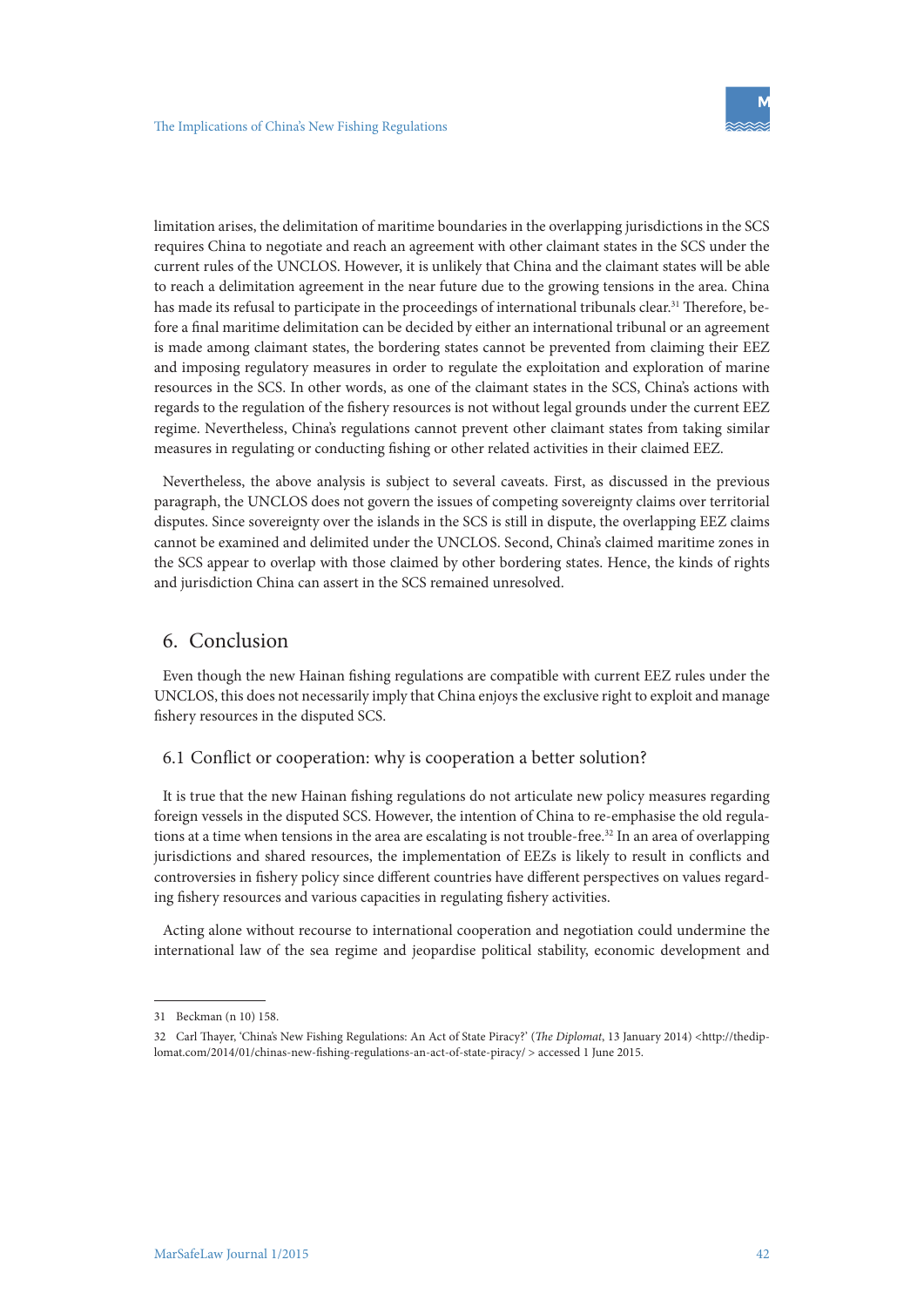limitation arises, the delimitation of maritime boundaries in the overlapping jurisdictions in the SCS requires China to negotiate and reach an agreement with other claimant states in the SCS under the current rules of the UNCLOS. However, it is unlikely that China and the claimant states will be able to reach a delimitation agreement in the near future due to the growing tensions in the area. China has made its refusal to participate in the proceedings of international tribunals clear.<sup>31</sup> Therefore, before a final maritime delimitation can be decided by either an international tribunal or an agreement is made among claimant states, the bordering states cannot be prevented from claiming their EEZ and imposing regulatory measures in order to regulate the exploitation and exploration of marine resources in the SCS. In other words, as one of the claimant states in the SCS, China's actions with regards to the regulation of the fishery resources is not without legal grounds under the current EEZ regime. Nevertheless, China's regulations cannot prevent other claimant states from taking similar measures in regulating or conducting fishing or other related activities in their claimed EEZ.

Nevertheless, the above analysis is subject to several caveats. First, as discussed in the previous paragraph, the UNCLOS does not govern the issues of competing sovereignty claims over territorial disputes. Since sovereignty over the islands in the SCS is still in dispute, the overlapping EEZ claims cannot be examined and delimited under the UNCLOS. Second, China's claimed maritime zones in the SCS appear to overlap with those claimed by other bordering states. Hence, the kinds of rights and jurisdiction China can assert in the SCS remained unresolved.

# 6. Conclusion

Even though the new Hainan fishing regulations are compatible with current EEZ rules under the UNCLOS, this does not necessarily imply that China enjoys the exclusive right to exploit and manage fishery resources in the disputed SCS.

#### 6.1 Conflict or cooperation: why is cooperation a better solution?

It is true that the new Hainan fishing regulations do not articulate new policy measures regarding foreign vessels in the disputed SCS. However, the intention of China to re-emphasise the old regulations at a time when tensions in the area are escalating is not trouble-free.<sup>32</sup> In an area of overlapping jurisdictions and shared resources, the implementation of EEZs is likely to result in conflicts and controversies in fishery policy since different countries have different perspectives on values regarding fishery resources and various capacities in regulating fishery activities.

Acting alone without recourse to international cooperation and negotiation could undermine the international law of the sea regime and jeopardise political stability, economic development and

<sup>31</sup> Beckman (n 10) 158.

<sup>32</sup> Carl Thayer, 'China's New Fishing Regulations: An Act of State Piracy?' (*The Diplomat*, 13 January 2014) <http://thediplomat.com/2014/01/chinas-new-fishing-regulations-an-act-of-state-piracy/ > accessed 1 June 2015.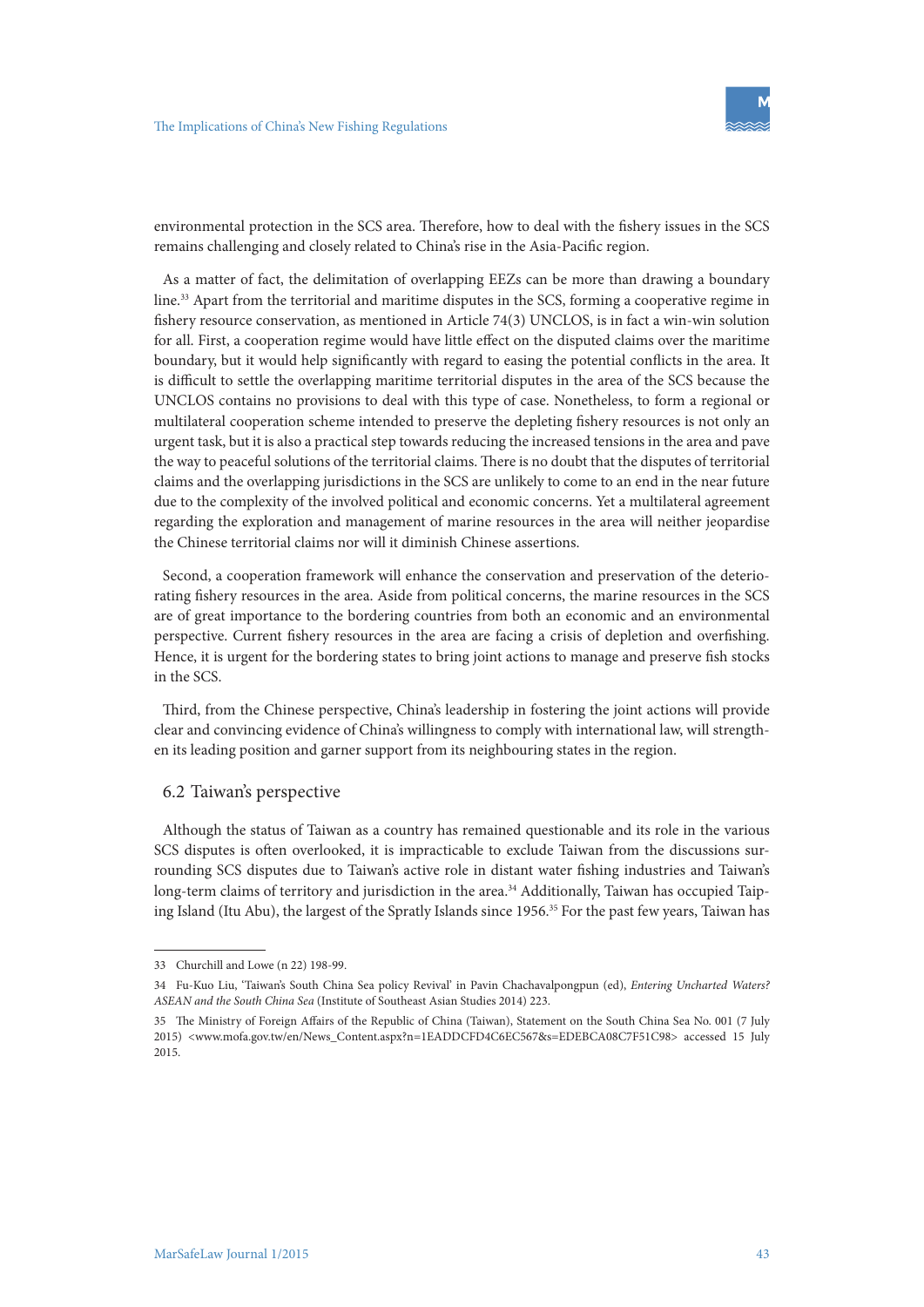environmental protection in the SCS area. Therefore, how to deal with the fishery issues in the SCS remains challenging and closely related to China's rise in the Asia-Pacific region.

As a matter of fact, the delimitation of overlapping EEZs can be more than drawing a boundary line.33 Apart from the territorial and maritime disputes in the SCS, forming a cooperative regime in fishery resource conservation, as mentioned in Article 74(3) UNCLOS, is in fact a win-win solution for all. First, a cooperation regime would have little effect on the disputed claims over the maritime boundary, but it would help significantly with regard to easing the potential conflicts in the area. It is difficult to settle the overlapping maritime territorial disputes in the area of the SCS because the UNCLOS contains no provisions to deal with this type of case. Nonetheless, to form a regional or multilateral cooperation scheme intended to preserve the depleting fishery resources is not only an urgent task, but it is also a practical step towards reducing the increased tensions in the area and pave the way to peaceful solutions of the territorial claims. There is no doubt that the disputes of territorial claims and the overlapping jurisdictions in the SCS are unlikely to come to an end in the near future due to the complexity of the involved political and economic concerns. Yet a multilateral agreement regarding the exploration and management of marine resources in the area will neither jeopardise the Chinese territorial claims nor will it diminish Chinese assertions.

Second, a cooperation framework will enhance the conservation and preservation of the deteriorating fishery resources in the area. Aside from political concerns, the marine resources in the SCS are of great importance to the bordering countries from both an economic and an environmental perspective. Current fishery resources in the area are facing a crisis of depletion and overfishing. Hence, it is urgent for the bordering states to bring joint actions to manage and preserve fish stocks in the SCS.

Third, from the Chinese perspective, China's leadership in fostering the joint actions will provide clear and convincing evidence of China's willingness to comply with international law, will strengthen its leading position and garner support from its neighbouring states in the region.

#### 6.2 Taiwan's perspective

Although the status of Taiwan as a country has remained questionable and its role in the various SCS disputes is often overlooked, it is impracticable to exclude Taiwan from the discussions surrounding SCS disputes due to Taiwan's active role in distant water fishing industries and Taiwan's long-term claims of territory and jurisdiction in the area.<sup>34</sup> Additionally, Taiwan has occupied Taiping Island (Itu Abu), the largest of the Spratly Islands since 1956.<sup>35</sup> For the past few years, Taiwan has

<sup>33</sup> Churchill and Lowe (n 22) 198-99.

<sup>34</sup> Fu-Kuo Liu, 'Taiwan's South China Sea policy Revival' in Pavin Chachavalpongpun (ed), *Entering Uncharted Waters? ASEAN and the South China Sea* (Institute of Southeast Asian Studies 2014) 223.

<sup>35</sup> The Ministry of Foreign Affairs of the Republic of China (Taiwan), Statement on the South China Sea No. 001 (7 July 2015) <www.mofa.gov.tw/en/News\_Content.aspx?n=1EADDCFD4C6EC567&s=EDEBCA08C7F51C98> accessed 15 July 2015.